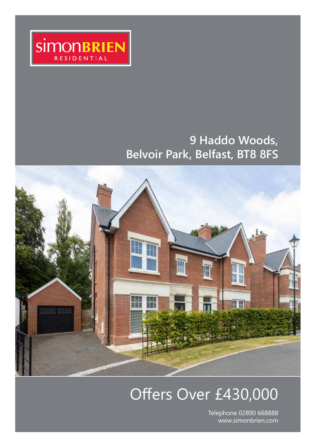

# **9 Haddo Woods, Belvoir Park, Belfast, BT8 8FS**



# Offers Over £430,000

Telephone 02890 668888 www.simonbrien.com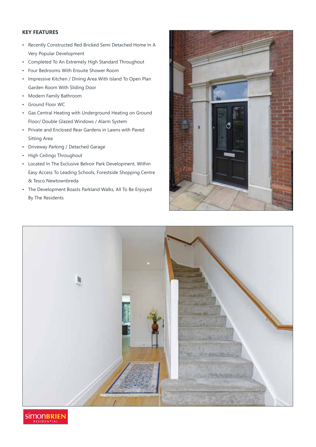### **KEY FEATURES**

- Recently Constructed Red Bricked Semi Detached Home In A Very Popular Development
- Completed To An Extremely High Standard Throughout
- Four Bedrooms With Ensuite Shower Room
- Impressive Kitchen / Dining Area With Island To Open Plan Garden Room With Sliding Door
- Modern Family Bathroom
- Ground Floor WC
- Gas Central Heating with Underground Heating on Ground Floor/ Double Glazed Windows / Alarm System
- Private and Enclosed Rear Gardens in Lawns with Paved Sitting Area
- Driveway Parking / Detached Garage
- High Ceilings Throughout
- Located In The Exclusive Belvoir Park Development, Within Easy Access To Leading Schools, Forestside Shopping Centre & Tesco Newtownbreda
- The Development Boasts Parkland Walks, All To Be Enjoyed By The Residents





**SIMONBRIEI** ESIDENTIA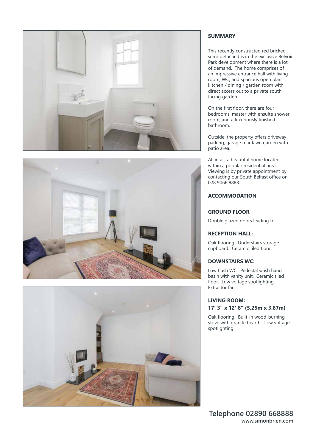





### **SUMMARY**

This recently constructed red bricked semi-detached is in the exclusive Belvoir Park development where there is a lot of demand. The home comprises of an impressive entrance hall with living room, WC, and spacious open plan kitchen / dining / garden room with direct access out to a private south facing garden.

On the first floor, there are four bedrooms, master with ensuite shower room, and a luxuriously finished bathroom.

Outside, the property offers driveway parking, garage rear lawn garden with patio area.

All in all, a beautiful home located within a popular residential area. Viewing is by private appointment by contacting our South Belfast office on 028 9066 8888.

### **ACCOMMODATION**

### **GROUND FLOOR**

Double glazed doors leading to:

### **RECEPTION HALL:**

Oak flooring. Understairs storage cupboard. Ceramic tiled floor.

### **DOWNSTAIRS WC:**

Low flush WC. Pedestal wash hand basin with vanity unit. Ceramic tiled floor. Low voltage spotlighting. Extractor fan.

### **LIVING ROOM: 17' 3" x 12' 8" (5.25m x 3.87m)**

Oak flooring. Built-in wood-burning stove with granite hearth. Low voltage spotlighting.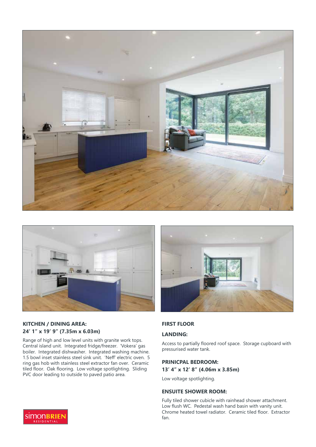



### **KITCHEN / DINING AREA: 24' 1" x 19' 9" (7.35m x 6.03m)**

Range of high and low level units with granite work tops. Central island unit. Integrated fridge/freezer. 'Vokera' gas boiler. Integrated dishwasher. Integrated washing machine. 1.5 bowl inset stainless steel sink unit. 'Neff' electric oven. 5 ring gas hob with stainless steel extractor fan over. Ceramic tiled floor. Oak flooring. Low voltage spotlighting. Sliding PVC door leading to outside to paved patio area.



### **FIRST FLOOR**

### **LANDING:**

Access to partially floored roof space. Storage cupboard with pressurised water tank.

### **PRINICPAL BEDROOM:**

**13' 4" x 12' 8" (4.06m x 3.85m)** 

Low voltage spotlighting.

### **ENSUITE SHOWER ROOM:**

Fully tiled shower cubicle with rainhead shower attachment. Low flush WC. Pedestal wash hand basin with vanity unit. Chrome heated towel radiator. Ceramic tiled floor. Extractor fan.

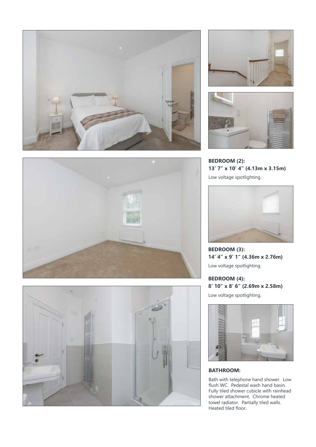









**BEDROOM (2): 13' 7" x 10' 4" (4.13m x 3.15m)** 

Low voltage spotlighting.



**BEDROOM (3): 14' 4" x 9' 1" (4.36m x 2.76m)**  Low voltage spotlighting.

**BEDROOM (4): 8' 10" x 8' 6" (2.69m x 2.58m)**  Low voltage spotlighting.



### **BATHROOM:**

Bath with telephone hand shower. Low flush WC. Pedestal wash hand basin. Fully tiled shower cubicle with rainhead shower attachment. Chrome heated towel radiator. Partially tiled walls. Heated tiled floor.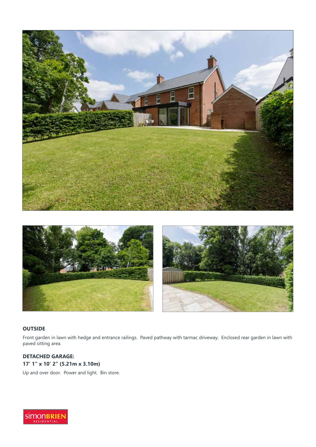



### **OUTSIDE**

Front garden in lawn with hedge and entrance railings. Paved pathway with tarmac driveway. Enclosed rear garden in lawn with paved sitting area.

### **DETACHED GARAGE: 17' 1" x 10' 2" (5.21m x 3.10m)**

Up and over door. Power and light. Bin store.

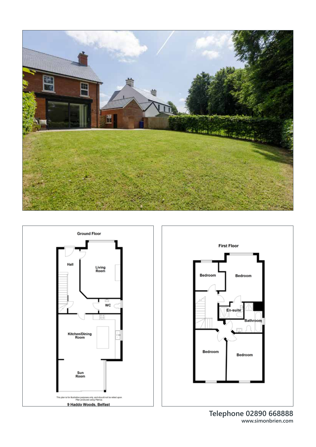





**Telephone 02890 668888 www.simonbrien.com**